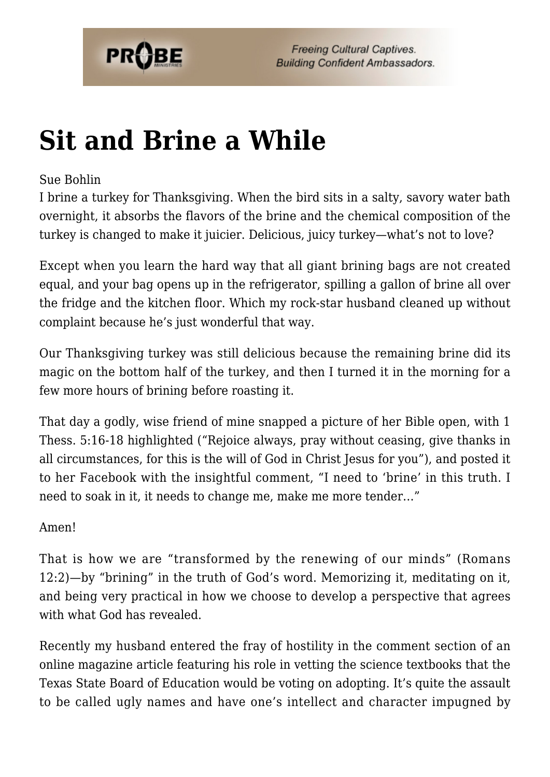

## **[Sit and Brine a While](https://probe.org/sit-and-brine-a-while/)**

## Sue Bohlin

I brine a turkey for Thanksgiving. When the bird sits in a salty, savory water bath overnight, it absorbs the flavors of the brine and the chemical composition of the turkey is changed to make it juicier. Delicious, juicy turkey—what's not to love?

Except when you learn the hard way that all giant brining bags are not created equal, and your bag opens up in the refrigerator, spilling a gallon of brine all over the fridge and the kitchen floor. Which my rock-star husband cleaned up without complaint because he's just wonderful that way.

Our Thanksgiving turkey was still delicious because the remaining brine did its magic on the bottom half of the turkey, and then I turned it in the morning for a few more hours of brining before roasting it.

That day a godly, wise friend of mine snapped a picture of her Bible open, with 1 Thess. 5:16-18 highlighted ("Rejoice always, pray without ceasing, give thanks in all circumstances, for this is the will of God in Christ Jesus for you"), and posted it to her Facebook with the insightful comment, "I need to 'brine' in this truth. I need to soak in it, it needs to change me, make me more tender…"

## Amen!

That is how we are "transformed by the renewing of our minds" (Romans 12:2)—by "brining" in the truth of God's word. Memorizing it, meditating on it, and being very practical in how we choose to develop a perspective that agrees with what God has revealed.

Recently my husband entered the fray of hostility in the comment section of an online magazine article featuring his role in vetting the science textbooks that the Texas State Board of Education would be voting on adopting. It's quite the assault to be called ugly names and have one's intellect and character impugned by